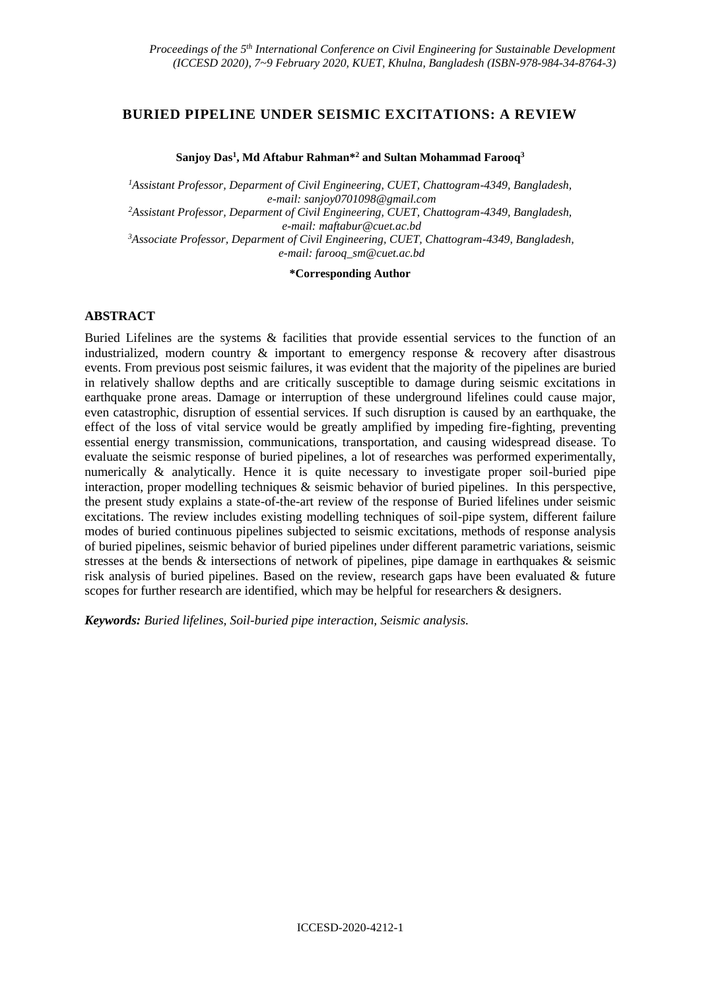# **BURIED PIPELINE UNDER SEISMIC EXCITATIONS: A REVIEW**

#### **Sanjoy Das<sup>1</sup> , Md Aftabur Rahman\* <sup>2</sup> and Sultan Mohammad Farooq<sup>3</sup>**

*<sup>1</sup>Assistant Professor, Deparment of Civil Engineering, CUET, Chattogram-4349, Bangladesh, e-mail: sanjoy0701098@gmail.com <sup>2</sup>Assistant Professor, Deparment of Civil Engineering, CUET, Chattogram-4349, Bangladesh, e-mail: maftabur@cuet.ac.bd <sup>3</sup>Associate Professor, Deparment of Civil Engineering, CUET, Chattogram-4349, Bangladesh, e-mail: farooq\_sm@cuet.ac.bd*

#### **\*Corresponding Author**

#### **ABSTRACT**

Buried Lifelines are the systems & facilities that provide essential services to the function of an industrialized, modern country & important to emergency response & recovery after disastrous events. From previous post seismic failures, it was evident that the majority of the pipelines are buried in relatively shallow depths and are critically susceptible to damage during seismic excitations in earthquake prone areas. Damage or interruption of these underground lifelines could cause major, even catastrophic, disruption of essential services. If such disruption is caused by an earthquake, the effect of the loss of vital service would be greatly amplified by impeding fire-fighting, preventing essential energy transmission, communications, transportation, and causing widespread disease. To evaluate the seismic response of buried pipelines, a lot of researches was performed experimentally, numerically & analytically. Hence it is quite necessary to investigate proper soil-buried pipe interaction, proper modelling techniques & seismic behavior of buried pipelines. In this perspective, the present study explains a state-of-the-art review of the response of Buried lifelines under seismic excitations. The review includes existing modelling techniques of soil-pipe system, different failure modes of buried continuous pipelines subjected to seismic excitations, methods of response analysis of buried pipelines, seismic behavior of buried pipelines under different parametric variations, seismic stresses at the bends & intersections of network of pipelines, pipe damage in earthquakes & seismic risk analysis of buried pipelines. Based on the review, research gaps have been evaluated & future scopes for further research are identified, which may be helpful for researchers & designers.

*Keywords: Buried lifelines, Soil-buried pipe interaction, Seismic analysis.*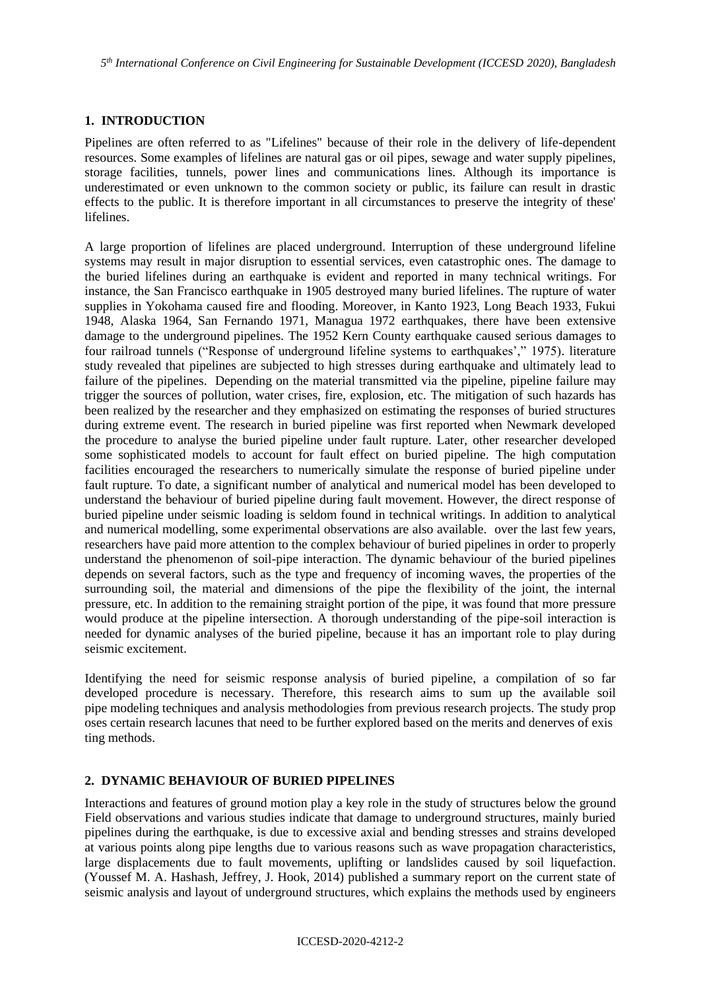### **1. INTRODUCTION**

Pipelines are often referred to as "Lifelines" because of their role in the delivery of life-dependent resources. Some examples of lifelines are natural gas or oil pipes, sewage and water supply pipelines, storage facilities, tunnels, power lines and communications lines. Although its importance is underestimated or even unknown to the common society or public, its failure can result in drastic effects to the public. It is therefore important in all circumstances to preserve the integrity of these' lifelines.

A large proportion of lifelines are placed underground. Interruption of these underground lifeline systems may result in major disruption to essential services, even catastrophic ones. The damage to the buried lifelines during an earthquake is evident and reported in many technical writings. For instance, the San Francisco earthquake in 1905 destroyed many buried lifelines. The rupture of water supplies in Yokohama caused fire and flooding. Moreover, in Kanto 1923, Long Beach 1933, Fukui 1948, Alaska 1964, San Fernando 1971, Managua 1972 earthquakes, there have been extensive damage to the underground pipelines. The 1952 Kern County earthquake caused serious damages to four railroad tunnels ("Response of underground lifeline systems to earthquakes'," 1975). literature study revealed that pipelines are subjected to high stresses during earthquake and ultimately lead to failure of the pipelines. Depending on the material transmitted via the pipeline, pipeline failure may trigger the sources of pollution, water crises, fire, explosion, etc. The mitigation of such hazards has been realized by the researcher and they emphasized on estimating the responses of buried structures during extreme event. The research in buried pipeline was first reported when Newmark developed the procedure to analyse the buried pipeline under fault rupture. Later, other researcher developed some sophisticated models to account for fault effect on buried pipeline. The high computation facilities encouraged the researchers to numerically simulate the response of buried pipeline under fault rupture. To date, a significant number of analytical and numerical model has been developed to understand the behaviour of buried pipeline during fault movement. However, the direct response of buried pipeline under seismic loading is seldom found in technical writings. In addition to analytical and numerical modelling, some experimental observations are also available. over the last few years, researchers have paid more attention to the complex behaviour of buried pipelines in order to properly understand the phenomenon of soil-pipe interaction. The dynamic behaviour of the buried pipelines depends on several factors, such as the type and frequency of incoming waves, the properties of the surrounding soil, the material and dimensions of the pipe the flexibility of the joint, the internal pressure, etc. In addition to the remaining straight portion of the pipe, it was found that more pressure would produce at the pipeline intersection. A thorough understanding of the pipe-soil interaction is needed for dynamic analyses of the buried pipeline, because it has an important role to play during seismic excitement.

Identifying the need for seismic response analysis of buried pipeline, a compilation of so far developed procedure is necessary. Therefore, this research aims to sum up the available soil pipe modeling techniques and analysis methodologies from previous research projects. The study prop oses certain research lacunes that need to be further explored based on the merits and denerves of exis ting methods.

### **2. DYNAMIC BEHAVIOUR OF BURIED PIPELINES**

Interactions and features of ground motion play a key role in the study of structures below the ground Field observations and various studies indicate that damage to underground structures, mainly buried pipelines during the earthquake, is due to excessive axial and bending stresses and strains developed at various points along pipe lengths due to various reasons such as wave propagation characteristics, large displacements due to fault movements, uplifting or landslides caused by soil liquefaction. (Youssef M. A. Hashash, Jeffrey, J. Hook, 2014) published a summary report on the current state of seismic analysis and layout of underground structures, which explains the methods used by engineers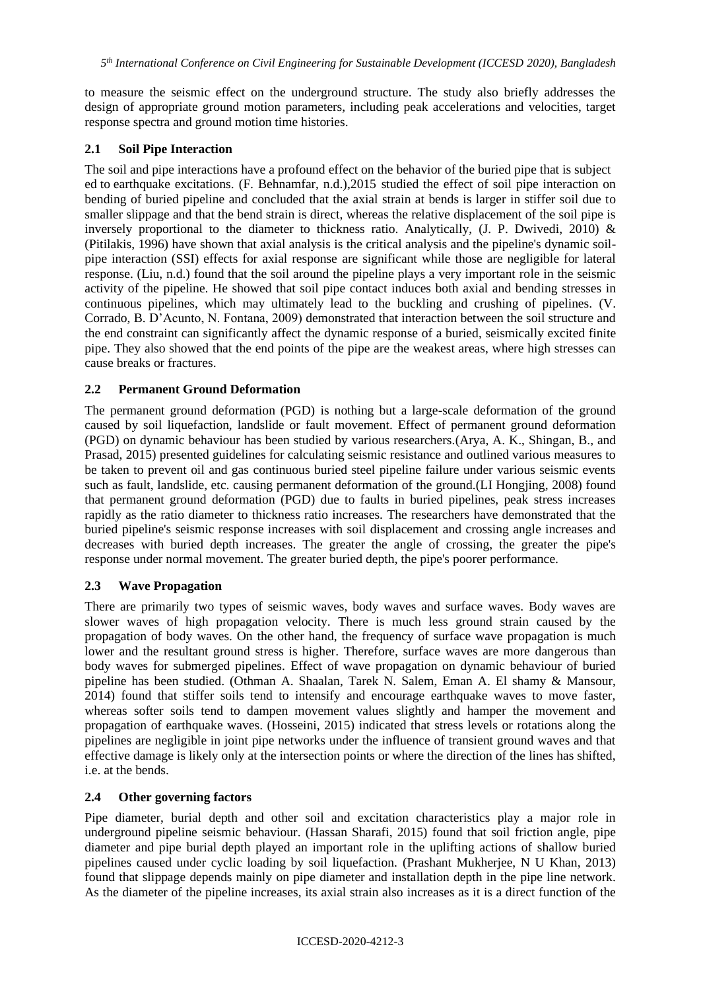to measure the seismic effect on the underground structure. The study also briefly addresses the design of appropriate ground motion parameters, including peak accelerations and velocities, target response spectra and ground motion time histories.

### **2.1 Soil Pipe Interaction**

The soil and pipe interactions have a profound effect on the behavior of the buried pipe that is subject ed to earthquake excitations. (F. Behnamfar, n.d.),2015 studied the effect of soil pipe interaction on bending of buried pipeline and concluded that the axial strain at bends is larger in stiffer soil due to smaller slippage and that the bend strain is direct, whereas the relative displacement of the soil pipe is inversely proportional to the diameter to thickness ratio. Analytically, (J. P. Dwivedi, 2010) & (Pitilakis, 1996) have shown that axial analysis is the critical analysis and the pipeline's dynamic soilpipe interaction (SSI) effects for axial response are significant while those are negligible for lateral response. (Liu, n.d.) found that the soil around the pipeline plays a very important role in the seismic activity of the pipeline. He showed that soil pipe contact induces both axial and bending stresses in continuous pipelines, which may ultimately lead to the buckling and crushing of pipelines. (V. Corrado, B. D'Acunto, N. Fontana, 2009) demonstrated that interaction between the soil structure and the end constraint can significantly affect the dynamic response of a buried, seismically excited finite pipe. They also showed that the end points of the pipe are the weakest areas, where high stresses can cause breaks or fractures.

### **2.2 Permanent Ground Deformation**

The permanent ground deformation (PGD) is nothing but a large-scale deformation of the ground caused by soil liquefaction, landslide or fault movement. Effect of permanent ground deformation (PGD) on dynamic behaviour has been studied by various researchers.(Arya, A. K., Shingan, B., and Prasad, 2015) presented guidelines for calculating seismic resistance and outlined various measures to be taken to prevent oil and gas continuous buried steel pipeline failure under various seismic events such as fault, landslide, etc. causing permanent deformation of the ground.(LI Hongjing, 2008) found that permanent ground deformation (PGD) due to faults in buried pipelines, peak stress increases rapidly as the ratio diameter to thickness ratio increases. The researchers have demonstrated that the buried pipeline's seismic response increases with soil displacement and crossing angle increases and decreases with buried depth increases. The greater the angle of crossing, the greater the pipe's response under normal movement. The greater buried depth, the pipe's poorer performance.

# **2.3 Wave Propagation**

There are primarily two types of seismic waves, body waves and surface waves. Body waves are slower waves of high propagation velocity. There is much less ground strain caused by the propagation of body waves. On the other hand, the frequency of surface wave propagation is much lower and the resultant ground stress is higher. Therefore, surface waves are more dangerous than body waves for submerged pipelines. Effect of wave propagation on dynamic behaviour of buried pipeline has been studied. (Othman A. Shaalan, Tarek N. Salem, Eman A. El shamy & Mansour, 2014) found that stiffer soils tend to intensify and encourage earthquake waves to move faster, whereas softer soils tend to dampen movement values slightly and hamper the movement and propagation of earthquake waves. (Hosseini, 2015) indicated that stress levels or rotations along the pipelines are negligible in joint pipe networks under the influence of transient ground waves and that effective damage is likely only at the intersection points or where the direction of the lines has shifted, i.e. at the bends.

### **2.4 Other governing factors**

Pipe diameter, burial depth and other soil and excitation characteristics play a major role in underground pipeline seismic behaviour. (Hassan Sharafi, 2015) found that soil friction angle, pipe diameter and pipe burial depth played an important role in the uplifting actions of shallow buried pipelines caused under cyclic loading by soil liquefaction. (Prashant Mukherjee, N U Khan, 2013) found that slippage depends mainly on pipe diameter and installation depth in the pipe line network. As the diameter of the pipeline increases, its axial strain also increases as it is a direct function of the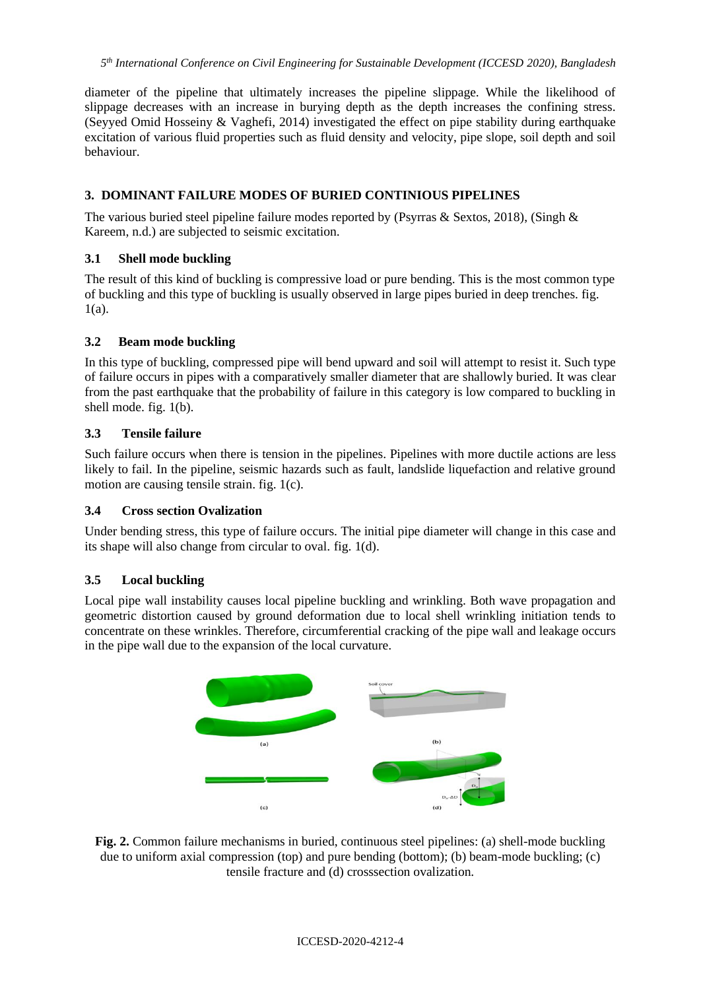diameter of the pipeline that ultimately increases the pipeline slippage. While the likelihood of slippage decreases with an increase in burying depth as the depth increases the confining stress. (Seyyed Omid Hosseiny & Vaghefi, 2014) investigated the effect on pipe stability during earthquake excitation of various fluid properties such as fluid density and velocity, pipe slope, soil depth and soil behaviour.

### **3. DOMINANT FAILURE MODES OF BURIED CONTINIOUS PIPELINES**

The various buried steel pipeline failure modes reported by (Psyrras & Sextos, 2018), (Singh & Kareem, n.d.) are subjected to seismic excitation.

### **3.1 Shell mode buckling**

The result of this kind of buckling is compressive load or pure bending. This is the most common type of buckling and this type of buckling is usually observed in large pipes buried in deep trenches. fig. 1(a).

### **3.2 Beam mode buckling**

In this type of buckling, compressed pipe will bend upward and soil will attempt to resist it. Such type of failure occurs in pipes with a comparatively smaller diameter that are shallowly buried. It was clear from the past earthquake that the probability of failure in this category is low compared to buckling in shell mode. fig. 1(b).

### **3.3 Tensile failure**

Such failure occurs when there is tension in the pipelines. Pipelines with more ductile actions are less likely to fail. In the pipeline, seismic hazards such as fault, landslide liquefaction and relative ground motion are causing tensile strain. fig. 1(c).

### **3.4 Cross section Ovalization**

Under bending stress, this type of failure occurs. The initial pipe diameter will change in this case and its shape will also change from circular to oval. fig. 1(d).

### **3.5 Local buckling**

Local pipe wall instability causes local pipeline buckling and wrinkling. Both wave propagation and geometric distortion caused by ground deformation due to local shell wrinkling initiation tends to concentrate on these wrinkles. Therefore, circumferential cracking of the pipe wall and leakage occurs in the pipe wall due to the expansion of the local curvature.



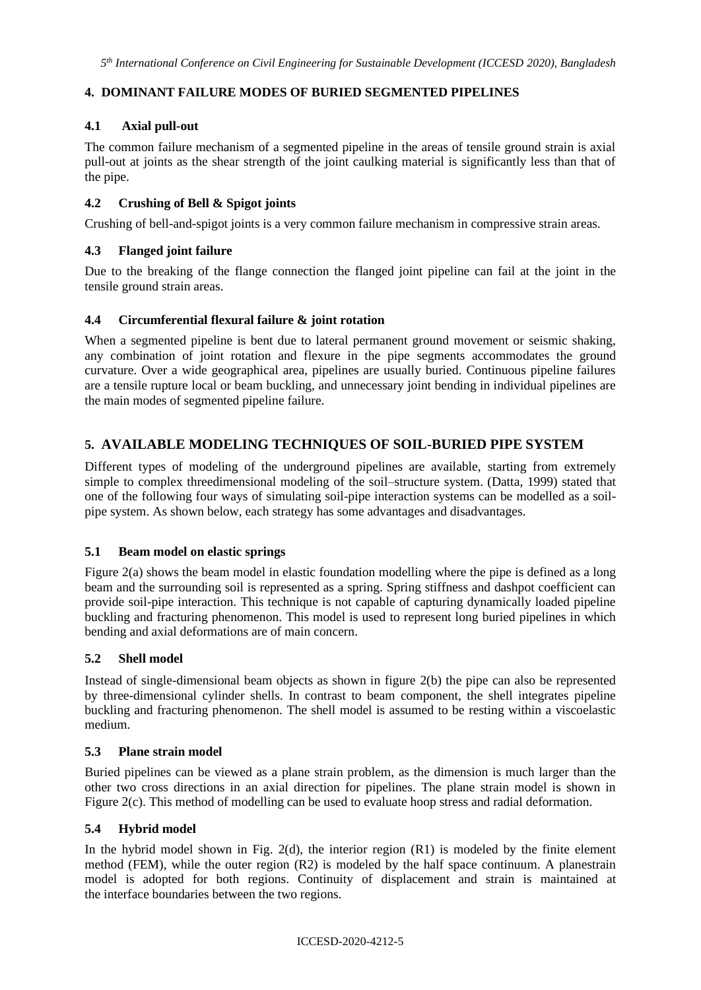# **4. DOMINANT FAILURE MODES OF BURIED SEGMENTED PIPELINES**

# **4.1 Axial pull-out**

The common failure mechanism of a segmented pipeline in the areas of tensile ground strain is axial pull-out at joints as the shear strength of the joint caulking material is significantly less than that of the pipe.

### **4.2 Crushing of Bell & Spigot joints**

Crushing of bell-and-spigot joints is a very common failure mechanism in compressive strain areas.

### **4.3 Flanged joint failure**

Due to the breaking of the flange connection the flanged joint pipeline can fail at the joint in the tensile ground strain areas.

### **4.4 Circumferential flexural failure & joint rotation**

When a segmented pipeline is bent due to lateral permanent ground movement or seismic shaking, any combination of joint rotation and flexure in the pipe segments accommodates the ground curvature. Over a wide geographical area, pipelines are usually buried. Continuous pipeline failures are a tensile rupture local or beam buckling, and unnecessary joint bending in individual pipelines are the main modes of segmented pipeline failure.

# **5. AVAILABLE MODELING TECHNIQUES OF SOIL-BURIED PIPE SYSTEM**

Different types of modeling of the underground pipelines are available, starting from extremely simple to complex threedimensional modeling of the soil–structure system. (Datta, 1999) stated that one of the following four ways of simulating soil-pipe interaction systems can be modelled as a soilpipe system. As shown below, each strategy has some advantages and disadvantages.

### **5.1 Beam model on elastic springs**

Figure 2(a) shows the beam model in elastic foundation modelling where the pipe is defined as a long beam and the surrounding soil is represented as a spring. Spring stiffness and dashpot coefficient can provide soil-pipe interaction. This technique is not capable of capturing dynamically loaded pipeline buckling and fracturing phenomenon. This model is used to represent long buried pipelines in which bending and axial deformations are of main concern.

### **5.2 Shell model**

Instead of single-dimensional beam objects as shown in figure 2(b) the pipe can also be represented by three-dimensional cylinder shells. In contrast to beam component, the shell integrates pipeline buckling and fracturing phenomenon. The shell model is assumed to be resting within a viscoelastic medium.

### **5.3 Plane strain model**

Buried pipelines can be viewed as a plane strain problem, as the dimension is much larger than the other two cross directions in an axial direction for pipelines. The plane strain model is shown in Figure 2(c). This method of modelling can be used to evaluate hoop stress and radial deformation.

### **5.4 Hybrid model**

In the hybrid model shown in Fig.  $2(d)$ , the interior region  $(R1)$  is modeled by the finite element method (FEM), while the outer region (R2) is modeled by the half space continuum. A planestrain model is adopted for both regions. Continuity of displacement and strain is maintained at the interface boundaries between the two regions.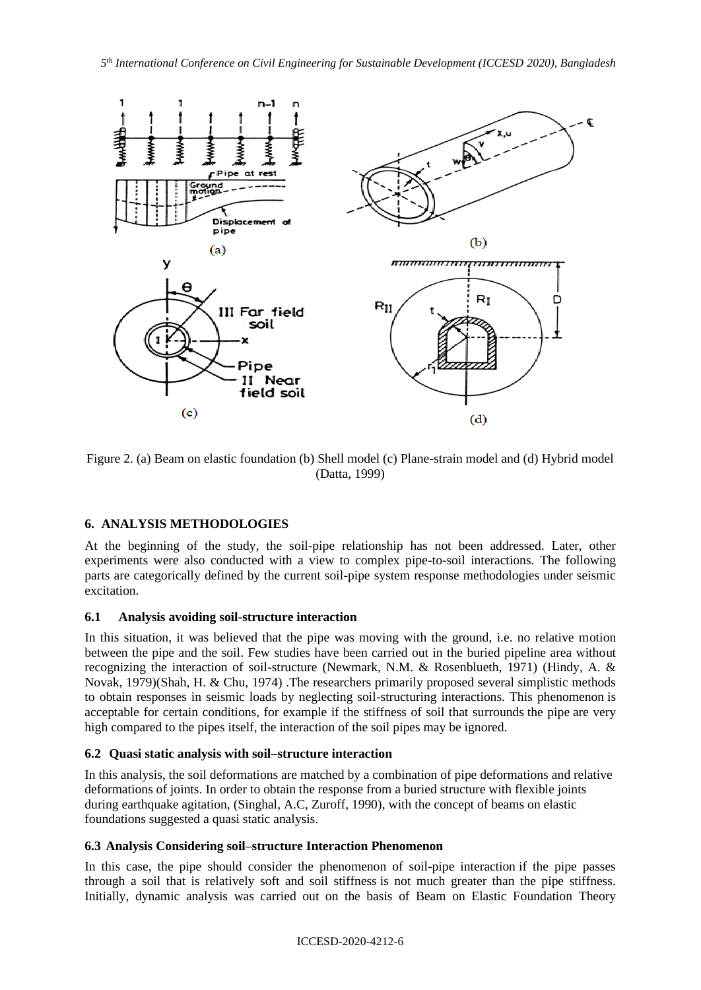

Figure 2. (a) Beam on elastic foundation (b) Shell model (c) Plane-strain model and (d) Hybrid model (Datta, 1999)

# **6. ANALYSIS METHODOLOGIES**

At the beginning of the study, the soil-pipe relationship has not been addressed. Later, other experiments were also conducted with a view to complex pipe-to-soil interactions. The following parts are categorically defined by the current soil-pipe system response methodologies under seismic excitation.

### **6.1 Analysis avoiding soil-structure interaction**

In this situation, it was believed that the pipe was moving with the ground, i.e. no relative motion between the pipe and the soil. Few studies have been carried out in the buried pipeline area without recognizing the interaction of soil-structure (Newmark, N.M. & Rosenblueth, 1971) (Hindy, A. & Novak, 1979)(Shah, H. & Chu, 1974) .The researchers primarily proposed several simplistic methods to obtain responses in seismic loads by neglecting soil-structuring interactions. This phenomenon is acceptable for certain conditions, for example if the stiffness of soil that surrounds the pipe are very high compared to the pipes itself, the interaction of the soil pipes may be ignored.

### **6.2 Quasi static analysis with soil–structure interaction**

In this analysis, the soil deformations are matched by a combination of pipe deformations and relative deformations of joints. In order to obtain the response from a buried structure with flexible joints during earthquake agitation, (Singhal, A.C, Zuroff, 1990), with the concept of beams on elastic foundations suggested a quasi static analysis.

### **6.3 Analysis Considering soil–structure Interaction Phenomenon**

In this case, the pipe should consider the phenomenon of soil-pipe interaction if the pipe passes through a soil that is relatively soft and soil stiffness is not much greater than the pipe stiffness. Initially, dynamic analysis was carried out on the basis of Beam on Elastic Foundation Theory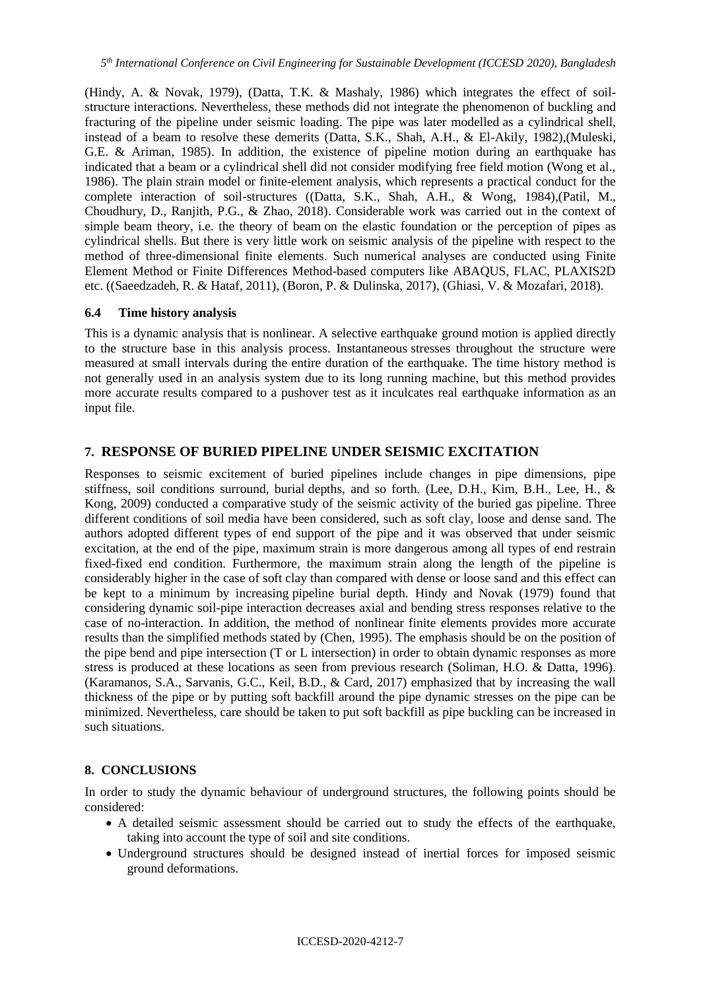(Hindy, A. & Novak, 1979), (Datta, T.K. & Mashaly, 1986) which integrates the effect of soilstructure interactions. Nevertheless, these methods did not integrate the phenomenon of buckling and fracturing of the pipeline under seismic loading. The pipe was later modelled as a cylindrical shell, instead of a beam to resolve these demerits (Datta, S.K., Shah, A.H., & El-Akily, 1982),(Muleski, G.E. & Ariman, 1985). In addition, the existence of pipeline motion during an earthquake has indicated that a beam or a cylindrical shell did not consider modifying free field motion (Wong et al., 1986). The plain strain model or finite-element analysis, which represents a practical conduct for the complete interaction of soil-structures ((Datta, S.K., Shah, A.H., & Wong, 1984),(Patil, M., Choudhury, D., Ranjith, P.G., & Zhao, 2018). Considerable work was carried out in the context of simple beam theory, i.e. the theory of beam on the elastic foundation or the perception of pipes as cylindrical shells. But there is very little work on seismic analysis of the pipeline with respect to the method of three-dimensional finite elements. Such numerical analyses are conducted using Finite Element Method or Finite Differences Method-based computers like ABAQUS, FLAC, PLAXIS2D etc. ((Saeedzadeh, R. & Hataf, 2011), (Boron, P. & Dulinska, 2017), (Ghiasi, V. & Mozafari, 2018).

#### **6.4 Time history analysis**

This is a dynamic analysis that is nonlinear. A selective earthquake ground motion is applied directly to the structure base in this analysis process. Instantaneous stresses throughout the structure were measured at small intervals during the entire duration of the earthquake. The time history method is not generally used in an analysis system due to its long running machine, but this method provides more accurate results compared to a pushover test as it inculcates real earthquake information as an input file.

### **7. RESPONSE OF BURIED PIPELINE UNDER SEISMIC EXCITATION**

Responses to seismic excitement of buried pipelines include changes in pipe dimensions, pipe stiffness, soil conditions surround, burial depths, and so forth. (Lee, D.H., Kim, B.H., Lee, H., & Kong, 2009) conducted a comparative study of the seismic activity of the buried gas pipeline. Three different conditions of soil media have been considered, such as soft clay, loose and dense sand. The authors adopted different types of end support of the pipe and it was observed that under seismic excitation, at the end of the pipe, maximum strain is more dangerous among all types of end restrain fixed-fixed end condition. Furthermore, the maximum strain along the length of the pipeline is considerably higher in the case of soft clay than compared with dense or loose sand and this effect can be kept to a minimum by increasing pipeline burial depth. Hindy and Novak (1979) found that considering dynamic soil-pipe interaction decreases axial and bending stress responses relative to the case of no-interaction. In addition, the method of nonlinear finite elements provides more accurate results than the simplified methods stated by (Chen, 1995). The emphasis should be on the position of the pipe bend and pipe intersection (T or L intersection) in order to obtain dynamic responses as more stress is produced at these locations as seen from previous research (Soliman, H.O. & Datta, 1996). (Karamanos, S.A., Sarvanis, G.C., Keil, B.D., & Card, 2017) emphasized that by increasing the wall thickness of the pipe or by putting soft backfill around the pipe dynamic stresses on the pipe can be minimized. Nevertheless, care should be taken to put soft backfill as pipe buckling can be increased in such situations.

### **8. CONCLUSIONS**

In order to study the dynamic behaviour of underground structures, the following points should be considered:

- A detailed seismic assessment should be carried out to study the effects of the earthquake, taking into account the type of soil and site conditions.
- Underground structures should be designed instead of inertial forces for imposed seismic ground deformations.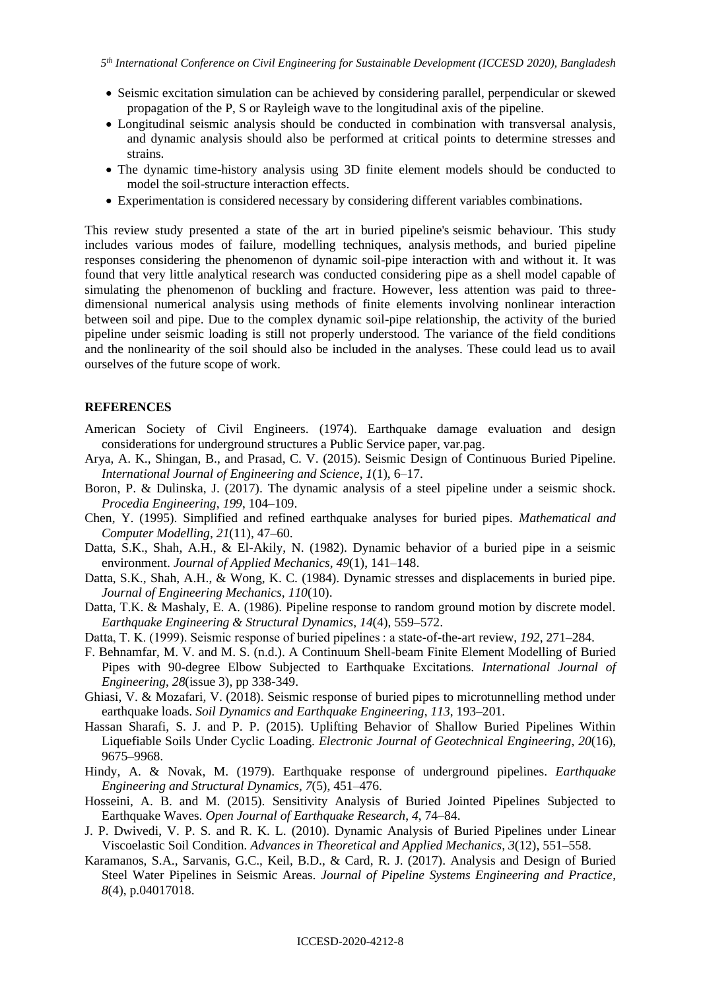- Seismic excitation simulation can be achieved by considering parallel, perpendicular or skewed propagation of the P, S or Rayleigh wave to the longitudinal axis of the pipeline.
- Longitudinal seismic analysis should be conducted in combination with transversal analysis, and dynamic analysis should also be performed at critical points to determine stresses and strains.
- The dynamic time-history analysis using 3D finite element models should be conducted to model the soil-structure interaction effects.
- Experimentation is considered necessary by considering different variables combinations.

This review study presented a state of the art in buried pipeline's seismic behaviour. This study includes various modes of failure, modelling techniques, analysis methods, and buried pipeline responses considering the phenomenon of dynamic soil-pipe interaction with and without it. It was found that very little analytical research was conducted considering pipe as a shell model capable of simulating the phenomenon of buckling and fracture. However, less attention was paid to threedimensional numerical analysis using methods of finite elements involving nonlinear interaction between soil and pipe. Due to the complex dynamic soil-pipe relationship, the activity of the buried pipeline under seismic loading is still not properly understood. The variance of the field conditions and the nonlinearity of the soil should also be included in the analyses. These could lead us to avail ourselves of the future scope of work.

### **REFERENCES**

- American Society of Civil Engineers. (1974). Earthquake damage evaluation and design considerations for underground structures a Public Service paper, var.pag.
- Arya, A. K., Shingan, B., and Prasad, C. V. (2015). Seismic Design of Continuous Buried Pipeline. *International Journal of Engineering and Science*, *1*(1), 6–17.
- Boron, P. & Dulinska, J. (2017). The dynamic analysis of a steel pipeline under a seismic shock. *Procedia Engineering*, *199*, 104–109.
- Chen, Y. (1995). Simplified and refined earthquake analyses for buried pipes. *Mathematical and Computer Modelling*, *21*(11), 47–60.
- Datta, S.K., Shah, A.H., & El-Akily, N. (1982). Dynamic behavior of a buried pipe in a seismic environment. *Journal of Applied Mechanics*, *49*(1), 141–148.
- Datta, S.K., Shah, A.H., & Wong, K. C. (1984). Dynamic stresses and displacements in buried pipe. *Journal of Engineering Mechanics*, *110*(10).
- Datta, T.K. & Mashaly, E. A. (1986). Pipeline response to random ground motion by discrete model. *Earthquake Engineering & Structural Dynamics*, *14*(4), 559–572.
- Datta, T. K. (1999). Seismic response of buried pipelines : a state-of-the-art review, *192*, 271–284.
- F. Behnamfar, M. V. and M. S. (n.d.). A Continuum Shell-beam Finite Element Modelling of Buried Pipes with 90-degree Elbow Subjected to Earthquake Excitations. *International Journal of Engineering*, *28*(issue 3), pp 338-349.
- Ghiasi, V. & Mozafari, V. (2018). Seismic response of buried pipes to microtunnelling method under earthquake loads. *Soil Dynamics and Earthquake Engineering*, *113*, 193–201.
- Hassan Sharafi, S. J. and P. P. (2015). Uplifting Behavior of Shallow Buried Pipelines Within Liquefiable Soils Under Cyclic Loading. *Electronic Journal of Geotechnical Engineering*, *20*(16), 9675–9968.
- Hindy, A. & Novak, M. (1979). Earthquake response of underground pipelines. *Earthquake Engineering and Structural Dynamics*, *7*(5), 451–476.
- Hosseini, A. B. and M. (2015). Sensitivity Analysis of Buried Jointed Pipelines Subjected to Earthquake Waves. *Open Journal of Earthquake Research*, *4*, 74–84.
- J. P. Dwivedi, V. P. S. and R. K. L. (2010). Dynamic Analysis of Buried Pipelines under Linear Viscoelastic Soil Condition. *Advances in Theoretical and Applied Mechanics*, *3*(12), 551–558.
- Karamanos, S.A., Sarvanis, G.C., Keil, B.D., & Card, R. J. (2017). Analysis and Design of Buried Steel Water Pipelines in Seismic Areas. *Journal of Pipeline Systems Engineering and Practice*, *8*(4), p.04017018.